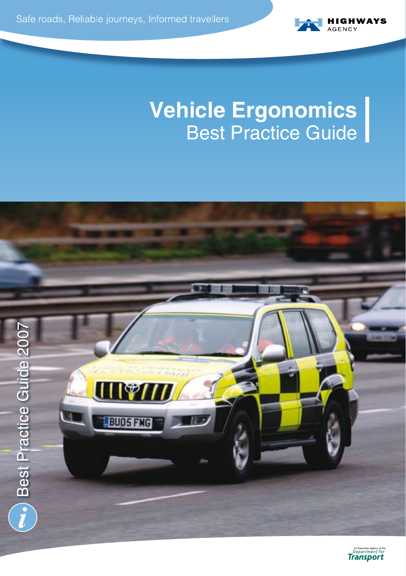

# **Vehicle Ergonomics** Best Practice Guide



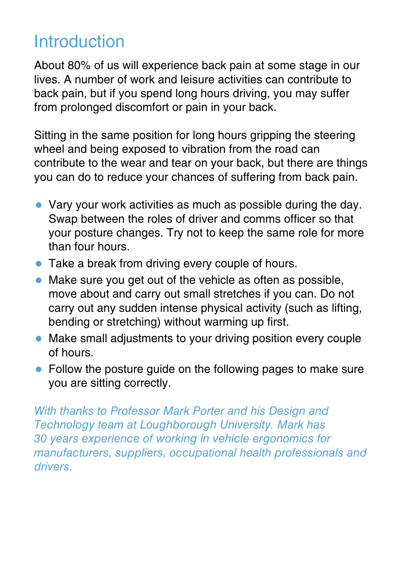# Introduction

About 80% of us will experience back pain at some stage in our lives. A number of work and leisure activities can contribute to back pain, but if you spend long hours driving, you may suffer from prolonged discomfort or pain in your back.

Sitting in the same position for long hours gripping the steering wheel and being exposed to vibration from the road can contribute to the wear and tear on your back, but there are things you can do to reduce your chances of suffering from back pain.

- $\bullet$  Vary your work activities as much as possible during the day. Swap between the roles of driver and comms officer so that your posture changes. Try not to keep the same role for more than four hours.
- Take a break from driving every couple of hours.
- $\bullet$  Make sure you get out of the vehicle as often as possible, move about and carry out small stretches if you can. Do not carry out any sudden intense physical activity (such as lifting, bending or stretching) without warming up first.
- Make small adjustments to your driving position every couple of hours.
- Follow the posture quide on the following pages to make sure you are sitting correctly.

With thanks to Professor Mark Porter and his Design and Technology team at Loughborough University. Mark has 30 years experience of working in vehicle ergonomics for manufacturers, suppliers, occupational health professionals and drivers.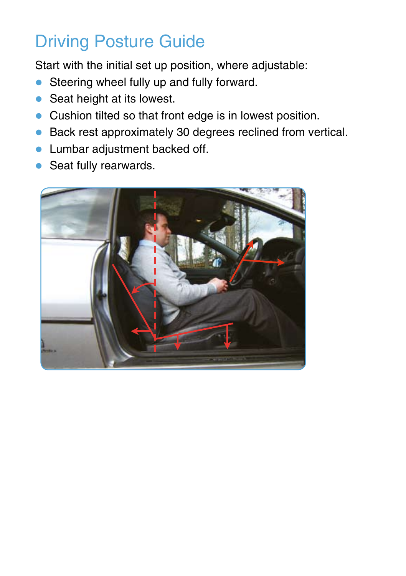# Driving Posture Guide

Start with the initial set up position, where adjustable:

- Steering wheel fully up and fully forward.
- $\bullet$  Seat height at its lowest.
- Cushion tilted so that front edge is in lowest position.
- $\bullet$  Back rest approximately 30 degrees reclined from vertical.
- **Lumbar adjustment backed off.**
- $\bullet$  Seat fully rearwards.

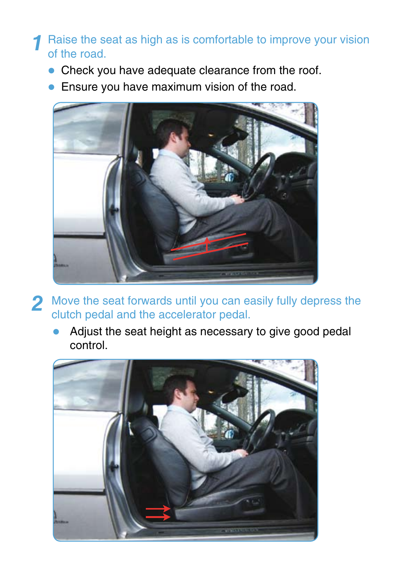#### Raise the seat as high as is comfortable to improve your vision of the road. **1**

- $\bullet$  Check you have adequate clearance from the roof.
- Ensure you have maximum vision of the road.



- Move the seat forwards until you can easily fully depress the clutch pedal and the accelerator pedal. **2**
	- Adjust the seat height as necessary to give good pedal control.

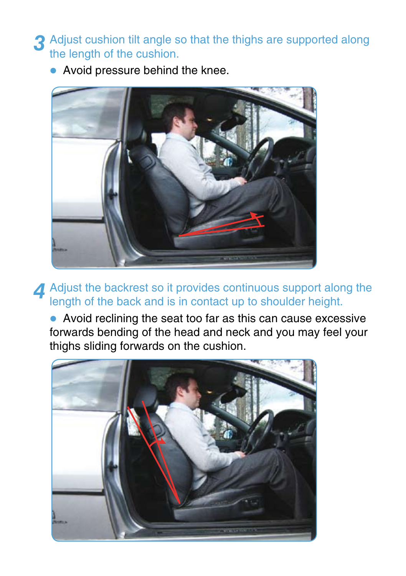**3** Adjust cushion tilt angle so that the thighs are supported along the length of the cushion the length of the cushion.

• Avoid pressure behind the knee.



**4** Adjust the backrest so it provides continuous support along the length of the back and is in contact up to shoulder height.

• Avoid reclining the seat too far as this can cause excessive forwards bending of the head and neck and you may feel your thighs sliding forwards on the cushion.

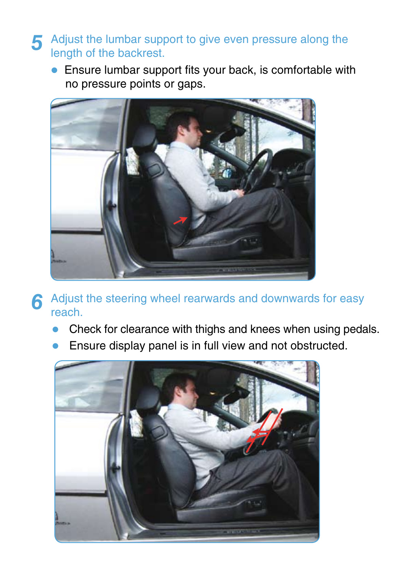- Adjust the lumbar support to give even pressure along the length of the backrest. **5**
	- $\bullet$  Ensure lumbar support fits your back, is comfortable with no pressure points or gaps.



- **6** Adjust the steering wheel rearwards and downwards for easy reach.
	- Check for clearance with thighs and knees when using pedals.
	- Ensure display panel is in full view and not obstructed.

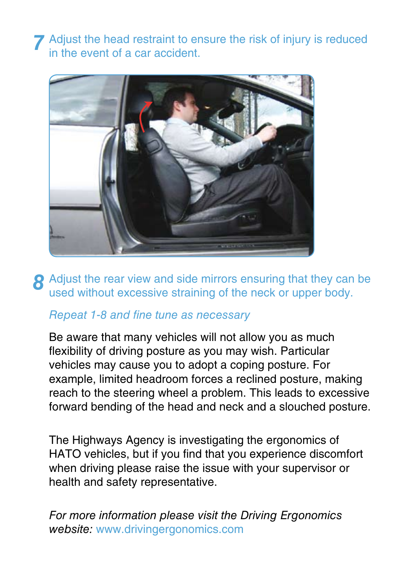**7** Adjust the head restraint to ensure the risk of injury is reduced in the event of a car accident.



**8** Adjust the rear view and side mirrors ensuring that they can be used without excessive straining of the neck or upper body.

### Repeat 1-8 and fine tune as necessary

Be aware that many vehicles will not allow you as much flexibility of driving posture as you may wish. Particular vehicles may cause you to adopt a coping posture. For example, limited headroom forces a reclined posture, making reach to the steering wheel a problem. This leads to excessive forward bending of the head and neck and a slouched posture.

The Highways Agency is investigating the ergonomics of HATO vehicles, but if you find that you experience discomfort when driving please raise the issue with your supervisor or health and safety representative.

For more information please visit the Driving Ergonomics website: www.drivingergonomics.com